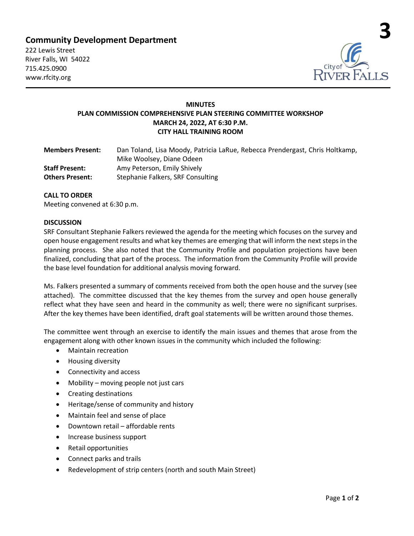# **Community Development Department**

222 Lewis Street River Falls, WI 54022 715.425.0900 www.rfcity.org



# **MINUTES PLAN COMMISSION COMPREHENSIVE PLAN STEERING COMMITTEE WORKSHOP MARCH 24, 2022, AT 6:30 P.M. CITY HALL TRAINING ROOM**

| <b>Members Present:</b> | Dan Toland, Lisa Moody, Patricia LaRue, Rebecca Prendergast, Chris Holtkamp, |
|-------------------------|------------------------------------------------------------------------------|
|                         | Mike Woolsey, Diane Odeen                                                    |
| <b>Staff Present:</b>   | Amy Peterson, Emily Shively                                                  |
| <b>Others Present:</b>  | Stephanie Falkers, SRF Consulting                                            |

## **CALL TO ORDER**

Meeting convened at 6:30 p.m.

#### **DISCUSSION**

SRF Consultant Stephanie Falkers reviewed the agenda for the meeting which focuses on the survey and open house engagement results and what key themes are emerging that will inform the next steps in the planning process. She also noted that the Community Profile and population projections have been finalized, concluding that part of the process. The information from the Community Profile will provide the base level foundation for additional analysis moving forward.

Ms. Falkers presented a summary of comments received from both the open house and the survey (see attached). The committee discussed that the key themes from the survey and open house generally reflect what they have seen and heard in the community as well; there were no significant surprises. After the key themes have been identified, draft goal statements will be written around those themes.

The committee went through an exercise to identify the main issues and themes that arose from the engagement along with other known issues in the community which included the following:

- Maintain recreation
- Housing diversity
- Connectivity and access
- Mobility moving people not just cars
- Creating destinations
- Heritage/sense of community and history
- Maintain feel and sense of place
- Downtown retail affordable rents
- Increase business support
- Retail opportunities
- Connect parks and trails
- Redevelopment of strip centers (north and south Main Street)